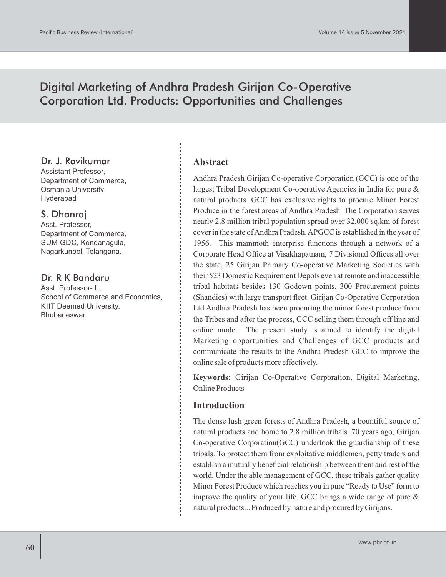# Digital Marketing of Andhra Pradesh Girijan Co-Operative Corporation Ltd. Products: Opportunities and Challenges

#### Dr. J. Ravikumar

Assistant Professor, Department of Commerce, Osmania University Hyderabad

## S. Dhanraj

Asst. Professor, Department of Commerce, SUM GDC, Kondanagula, Nagarkunool, Telangana.

# Dr. R K Bandaru

Asst. Professor- II, School of Commerce and Economics, KIIT Deemed University, **Bhubaneswar** 

#### **Abstract**

Andhra Pradesh Girijan Co-operative Corporation (GCC) is one of the largest Tribal Development Co-operative Agencies in India for pure & natural products. GCC has exclusive rights to procure Minor Forest Produce in the forest areas of Andhra Pradesh. The Corporation serves nearly 2.8 million tribal population spread over 32,000 sq.km of forest cover in the state of Andhra Pradesh. APGCC is established in the year of 1956. This mammoth enterprise functions through a network of a Corporate Head Office at Visakhapatnam, 7 Divisional Offices all over the state, 25 Girijan Primary Co-operative Marketing Societies with their 523 Domestic Requirement Depots even at remote and inaccessible tribal habitats besides 130 Godown points, 300 Procurement points (Shandies) with large transport fleet. Girijan Co-Operative Corporation Ltd Andhra Pradesh has been procuring the minor forest produce from the Tribes and after the process, GCC selling them through off line and online mode. The present study is aimed to identify the digital Marketing opportunities and Challenges of GCC products and communicate the results to the Andhra Predesh GCC to improve the online sale of products more effectively.

**Keywords:** Girijan Co-Operative Corporation, Digital Marketing, Online Products

## **Introduction**

The dense lush green forests of Andhra Pradesh, a bountiful source of natural products and home to 2.8 million tribals. 70 years ago, Girijan Co-operative Corporation(GCC) undertook the guardianship of these tribals. To protect them from exploitative middlemen, petty traders and establish a mutually beneficial relationship between them and rest of the world. Under the able management of GCC, these tribals gather quality Minor Forest Produce which reaches you in pure "Ready to Use" form to improve the quality of your life. GCC brings a wide range of pure & natural products... Produced by nature and procured by Girijans.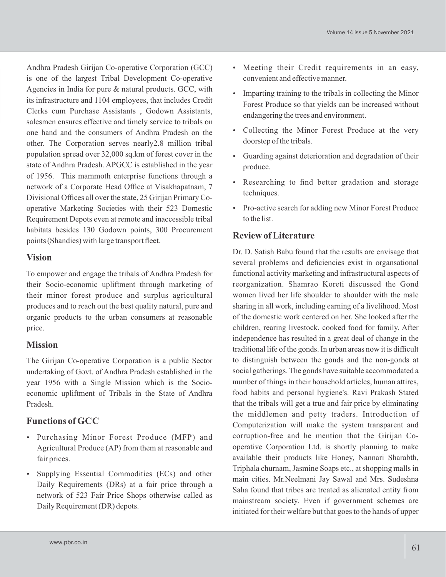Andhra Pradesh Girijan Co-operative Corporation (GCC) is one of the largest Tribal Development Co-operative Agencies in India for pure & natural products. GCC, with its infrastructure and 1104 employees, that includes Credit Clerks cum Purchase Assistants , Godown Assistants, salesmen ensures effective and timely service to tribals on one hand and the consumers of Andhra Pradesh on the other. The Corporation serves nearly2.8 million tribal population spread over 32,000 sq.km of forest cover in the state of Andhra Pradesh. APGCC is established in the year of 1956. This mammoth enterprise functions through a network of a Corporate Head Office at Visakhapatnam, 7 Divisional Offices all over the state, 25 Girijan Primary Cooperative Marketing Societies with their 523 Domestic Requirement Depots even at remote and inaccessible tribal habitats besides 130 Godown points, 300 Procurement points (Shandies) with large transport fleet.

## **Vision**

To empower and engage the tribals of Andhra Pradesh for their Socio-economic upliftment through marketing of their minor forest produce and surplus agricultural produces and to reach out the best quality natural, pure and organic products to the urban consumers at reasonable price.

# **Mission**

The Girijan Co-operative Corporation is a public Sector undertaking of Govt. of Andhra Pradesh established in the year 1956 with a Single Mission which is the Socioeconomic upliftment of Tribals in the State of Andhra Pradesh.

# **Functions of GCC**

- Purchasing Minor Forest Produce (MFP) and Agricultural Produce (AP) from them at reasonable and fair prices.
- Supplying Essential Commodities (ECs) and other Daily Requirements (DRs) at a fair price through a network of 523 Fair Price Shops otherwise called as Daily Requirement (DR) depots.
- Meeting their Credit requirements in an easy, convenient and effective manner.
- Imparting training to the tribals in collecting the Minor Forest Produce so that yields can be increased without endangering the trees and environment.
- Collecting the Minor Forest Produce at the very doorstep of the tribals.
- Guarding against deterioration and degradation of their produce.
- Researching to find better gradation and storage techniques.
- Pro-active search for adding new Minor Forest Produce to the list.

# **Review of Literature**

Dr. D. Satish Babu found that the results are envisage that several problems and deficiencies exist in organsational functional activity marketing and infrastructural aspects of reorganization. Shamrao Koreti discussed the Gond women lived her life shoulder to shoulder with the male sharing in all work, including earning of a livelihood. Most of the domestic work centered on her. She looked after the children, rearing livestock, cooked food for family. After independence has resulted in a great deal of change in the traditional life of the gonds. In urban areas now it is difficult to distinguish between the gonds and the non-gonds at social gatherings. The gonds have suitable accommodated a number of things in their household articles, human attires, food habits and personal hygiene's. Ravi Prakash Stated that the tribals will get a true and fair price by eliminating the middlemen and petty traders. Introduction of Computerization will make the system transparent and corruption-free and he mention that the Girijan Cooperative Corporation Ltd. is shortly planning to make available their products like Honey, Nannari Sharabth, Triphala churnam, Jasmine Soaps etc., at shopping malls in main cities. Mr.Neelmani Jay Sawal and Mrs. Sudeshna Saha found that tribes are treated as alienated entity from mainstream society. Even if government schemes are initiated for their welfare but that goes to the hands of upper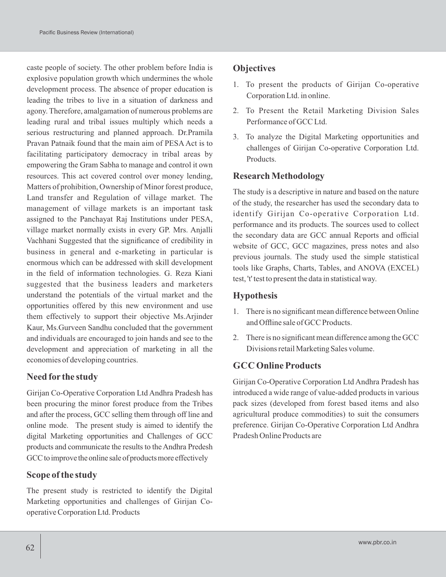caste people of society. The other problem before India is explosive population growth which undermines the whole development process. The absence of proper education is leading the tribes to live in a situation of darkness and agony. Therefore, amalgamation of numerous problems are leading rural and tribal issues multiply which needs a serious restructuring and planned approach. Dr.Pramila Pravan Patnaik found that the main aim of PESA Act is to facilitating participatory democracy in tribal areas by empowering the Gram Sabha to manage and control it own resources. This act covered control over money lending, Matters of prohibition, Ownership of Minor forest produce, Land transfer and Regulation of village market. The management of village markets is an important task assigned to the Panchayat Raj Institutions under PESA, village market normally exists in every GP. Mrs. Anjalli Vachhani Suggested that the significance of credibility in business in general and e-marketing in particular is enormous which can be addressed with skill development in the field of information technologies. G. Reza Kiani suggested that the business leaders and marketers understand the potentials of the virtual market and the opportunities offered by this new environment and use them effectively to support their objective Ms.Arjinder Kaur, Ms.Gurveen Sandhu concluded that the government and individuals are encouraged to join hands and see to the development and appreciation of marketing in all the economies of developing countries.

# **Need for the study**

Girijan Co-Operative Corporation Ltd Andhra Pradesh has been procuring the minor forest produce from the Tribes and after the process, GCC selling them through off line and online mode. The present study is aimed to identify the digital Marketing opportunities and Challenges of GCC products and communicate the results to the Andhra Predesh GCC to improve the online sale of products more effectively

## **Scope of the study**

The present study is restricted to identify the Digital Marketing opportunities and challenges of Girijan Cooperative Corporation Ltd. Products

# **Objectives**

- 1. To present the products of Girijan Co-operative Corporation Ltd. in online.
- 2. To Present the Retail Marketing Division Sales Performance of GCC Ltd.
- 3. To analyze the Digital Marketing opportunities and challenges of Girijan Co-operative Corporation Ltd. Products.

## **Research Methodology**

The study is a descriptive in nature and based on the nature of the study, the researcher has used the secondary data to identify Girijan Co-operative Corporation Ltd. performance and its products. The sources used to collect the secondary data are GCC annual Reports and official website of GCC, GCC magazines, press notes and also previous journals. The study used the simple statistical tools like Graphs, Charts, Tables, and ANOVA (EXCEL) test, 't' test to present the data in statistical way.

# **Hypothesis**

- 1. There is no significant mean difference between Online and Offline sale of GCC Products.
- 2. There is no significant mean difference among the GCC Divisions retail Marketing Sales volume.

# **GCC Online Products**

Girijan Co-Operative Corporation Ltd Andhra Pradesh has introduced a wide range of value-added products in various pack sizes (developed from forest based items and also agricultural produce commodities) to suit the consumers preference. Girijan Co-Operative Corporation Ltd Andhra Pradesh Online Products are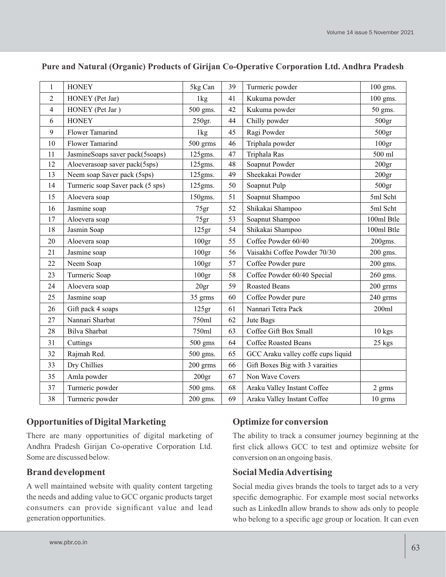| 1              | <b>HONEY</b>                     | 5kg Can           | 39 | Turmeric powder                    | 100 gms.          |
|----------------|----------------------------------|-------------------|----|------------------------------------|-------------------|
| $\overline{2}$ | HONEY (Pet Jar)                  | 1kg               | 41 | Kukuma powder                      | 100 gms.          |
| $\overline{4}$ | HONEY (Pet Jar)                  | 500 gms.          | 42 | Kukuma powder                      | 50 gms.           |
| 6              | <b>HONEY</b>                     | 250gr.            | 44 | Chilly powder                      | 500 <sub>gr</sub> |
| 9              | Flower Tamarind                  | 1kg               | 45 | Ragi Powder                        | 500 <sub>gr</sub> |
| 10             | Flower Tamarind                  | 500 grms          | 46 | Triphala powder                    | 100 <sub>gr</sub> |
| 11             | JasmineSoaps saver pack(5soaps)  | 125gms.           | 47 | Triphala Ras                       | 500 ml            |
| 12             | Aloeverasoap saver pack(5sps)    | 125gms.           | 48 | Soapnut Powder                     | 200 <sub>gr</sub> |
| 13             | Neem soap Saver pack (5sps)      | 125gms.           | 49 | Sheekakai Powder                   | 200 <sub>gr</sub> |
| 14             | Turmeric soap Saver pack (5 sps) | 125gms.           | 50 | Soapnut Pulp                       | 500 <sub>gr</sub> |
| 15             | Aloevera soap                    | 150gms.           | 51 | Soapnut Shampoo                    | 5ml Scht          |
| 16             | Jasmine soap                     | 75gr              | 52 | Shikakai Shampoo                   | 5ml Scht          |
| 17             | Aloevera soap                    | 75gr              | 53 | Soapnut Shampoo                    | 100ml Btle        |
| 18             | Jasmin Soap                      | 125gr             | 54 | Shikakai Shampoo                   | 100ml Btle        |
| 20             | Aloevera soap                    | 100 <sub>gr</sub> | 55 | Coffee Powder 60/40                | $200$ gms.        |
| 21             | Jasmine soap                     | 100 <sub>gr</sub> | 56 | Vaisakhi Coffee Powder 70/30       | 200 gms.          |
| 22             | Neem Soap                        | 100 <sub>gr</sub> | 57 | Coffee Powder pure                 | 200 gms.          |
| 23             | Turmeric Soap                    | 100 <sub>gr</sub> | 58 | Coffee Powder 60/40 Special        | 260 gms.          |
| 24             | Aloevera soap                    | 20gr              | 59 | <b>Roasted Beans</b>               | 200 grms          |
| 25             | Jasmine soap                     | 35 grms           | 60 | Coffee Powder pure                 | 240 grms          |
| 26             | Gift pack 4 soaps                | 125gr             | 61 | Nannari Tetra Pack                 | 200ml             |
| 27             | Nannari Sharbat                  | 750ml             | 62 | Jute Bags                          |                   |
| 28             | <b>Bilva Sharbat</b>             | 750ml             | 63 | Coffee Gift Box Small              | $10$ kgs          |
| 31             | Cuttings                         | 500 gms           | 64 | <b>Coffee Roasted Beans</b>        | 25 kgs            |
| 32             | Rajmah Red.                      | 500 gms.          | 65 | GCC Araku valley coffe cups liquid |                   |
| 33             | Dry Chillies                     | 200 grms          | 66 | Gift Boxes Big with 3 varaities    |                   |
| 35             | Amla powder                      | 200 <sub>gr</sub> | 67 | Non Wave Covers                    |                   |
| 37             | Turmeric powder                  | 500 gms.          | 68 | Araku Valley Instant Coffee        | 2 grms            |
| 38             | Turmeric powder                  | 200 gms.          | 69 | Araku Valley Instant Coffee        | 10 grms           |

#### **Pure and Natural (Organic) Products of Girijan Co-Operative Corporation Ltd. Andhra Pradesh**

# **Opportunities of Digital Marketing**

There are many opportunities of digital marketing of Andhra Pradesh Girijan Co-operative Corporation Ltd. Some are discussed below.

## **Brand development**

A well maintained website with quality content targeting the needs and adding value to GCC organic products target consumers can provide significant value and lead generation opportunities.

# **Optimize for conversion**

The ability to track a consumer journey beginning at the first click allows GCC to test and optimize website for conversion on an ongoing basis.

## **Social Media Advertising**

Social media gives brands the tools to target ads to a very specific demographic. For example most social networks such as LinkedIn allow brands to show ads only to people who belong to a specific age group or location. It can even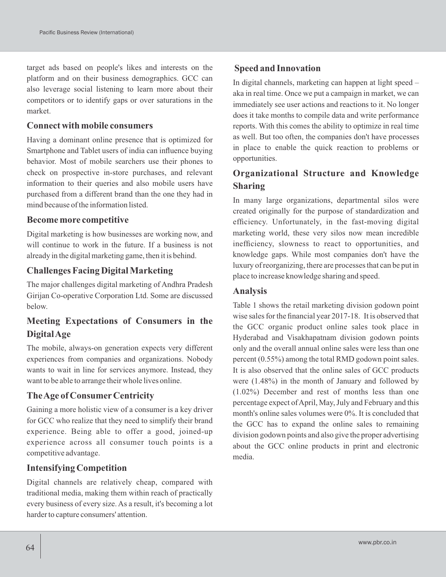target ads based on people's likes and interests on the platform and on their business demographics. GCC can also leverage social listening to learn more about their competitors or to identify gaps or over saturations in the market.

#### **Connect with mobile consumers**

Having a dominant online presence that is optimized for Smartphone and Tablet users of india can influence buying behavior. Most of mobile searchers use their phones to check on prospective in-store purchases, and relevant information to their queries and also mobile users have purchased from a different brand than the one they had in mind because of the information listed.

#### **Become more competitive**

Digital marketing is how businesses are working now, and will continue to work in the future. If a business is not already in the digital marketing game, then it is behind.

#### **Challenges Facing Digital Marketing**

The major challenges digital marketing of Andhra Pradesh Girijan Co-operative Corporation Ltd. Some are discussed below.

# **Meeting Expectations of Consumers in the Digital Age**

The mobile, always-on generation expects very different experiences from companies and organizations. Nobody wants to wait in line for services anymore. Instead, they want to be able to arrange their whole lives online.

#### **The Age of Consumer Centricity**

Gaining a more holistic view of a consumer is a key driver for GCC who realize that they need to simplify their brand experience. Being able to offer a good, joined-up experience across all consumer touch points is a competitive advantage.

#### **Intensifying Competition**

Digital channels are relatively cheap, compared with traditional media, making them within reach of practically every business of every size. As a result, it's becoming a lot harder to capture consumers' attention.

#### **Speed and Innovation**

In digital channels, marketing can happen at light speed – aka in real time. Once we put a campaign in market, we can immediately see user actions and reactions to it. No longer does it take months to compile data and write performance reports. With this comes the ability to optimize in real time as well. But too often, the companies don't have processes in place to enable the quick reaction to problems or opportunities.

# **Organizational Structure and Knowledge Sharing**

In many large organizations, departmental silos were created originally for the purpose of standardization and efficiency. Unfortunately, in the fast-moving digital marketing world, these very silos now mean incredible inefficiency, slowness to react to opportunities, and knowledge gaps. While most companies don't have the luxury of reorganizing, there are processes that can be put in place to increase knowledge sharing and speed.

#### **Analysis**

Table 1 shows the retail marketing division godown point wise sales for the financial year 2017-18. It is observed that the GCC organic product online sales took place in Hyderabad and Visakhapatnam division godown points only and the overall annual online sales were less than one percent (0.55%) among the total RMD godown point sales. It is also observed that the online sales of GCC products were (1.48%) in the month of January and followed by (1.02%) December and rest of months less than one percentage expect of April, May, July and February and this month's online sales volumes were 0%. It is concluded that the GCC has to expand the online sales to remaining division godown points and also give the proper advertising about the GCC online products in print and electronic media.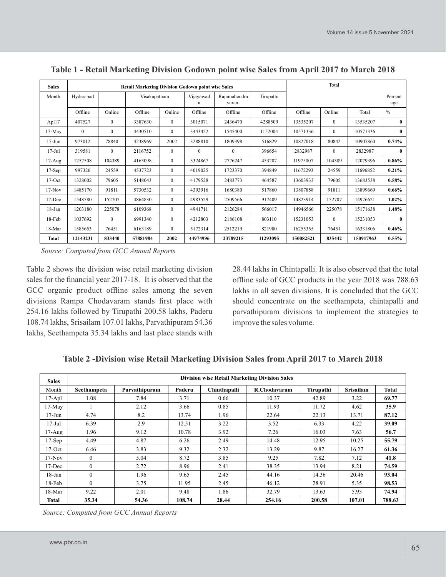| <b>Sales</b> | <b>Retail Marketing Division Godown point wise Sales</b> |              |              |              |                |                       | Total     |           |              |           |                |
|--------------|----------------------------------------------------------|--------------|--------------|--------------|----------------|-----------------------|-----------|-----------|--------------|-----------|----------------|
| Month        | Hyderabad                                                |              | Visakapatnam |              | Vijayawad<br>a | Rajamahendra<br>varam | Tirupathi |           |              |           | Percent<br>age |
|              | Offline                                                  | Online       | Offline      | Online       | Offline        | Offline               | Offline   | Offline   | Online       | Total     | $\frac{0}{0}$  |
| Apl17        | 407527                                                   | $\mathbf{0}$ | 3387630      | $\theta$     | 3015071        | 2436470               | 4288509   | 13535207  | $\mathbf{0}$ | 13535207  | $\mathbf{0}$   |
| $17-May$     | $\mathbf{0}$                                             | $\mathbf{0}$ | 4430510      | $\theta$     | 3443422        | 1545400               | 1152004   | 10571336  | $\mathbf{0}$ | 10571336  | $\bf{0}$       |
| $17 - Jun$   | 973012                                                   | 78840        | 4238969      | 2002         | 3288810        | 1809398               | 516829    | 10827018  | 80842        | 10907860  | 0.74%          |
| $17 -$ Jul   | 319581                                                   | $\mathbf{0}$ | 2116752      | $\theta$     | $\theta$       | $\Omega$              | 396654    | 2832987   | $\mathbf{0}$ | 2832987   | $\mathbf{0}$   |
| $17-Aug$     | 1257508                                                  | 104389       | 4163098      | $\theta$     | 3324867        | 2776247               | 453287    | 11975007  | 104389       | 12079396  | $0.86\%$       |
| $17-Sep$     | 997326                                                   | 24559        | 4537723      | $\mathbf{0}$ | 4019025        | 1723370               | 394849    | 11672293  | 24559        | 11696852  | $0.21\%$       |
| $17-Oct$     | 1328002                                                  | 79605        | 5148043      | $\mathbf{0}$ | 4179528        | 2483773               | 464587    | 13603933  | 79605        | 13683538  | $0.58\%$       |
| $17-Nov$     | 1485170                                                  | 91811        | 5730532      | $\theta$     | 4393916        | 1680380               | 517860    | 13807858  | 91811        | 13899669  | 0.66%          |
| 17-Dec       | 1548580                                                  | 152707       | 4864830      | $\theta$     | 4983529        | 2509566               | 917409    | 14823914  | 152707       | 14976621  | $1.02\%$       |
| $18 - Jan$   | 1203180                                                  | 225078       | 6109368      | $\Omega$     | 4941711        | 2126284               | 566017    | 14946560  | 225078       | 15171638  | 1.48%          |
| $18-Feb$     | 1037692                                                  | $\mathbf{0}$ | 6991340      | $\Omega$     | 4212803        | 2186108               | 803110    | 15231053  | $\mathbf{0}$ | 15231053  | $\mathbf{0}$   |
| 18-Mar       | 1585653                                                  | 76451        | 6163189      | $\theta$     | 5172314        | 2512219               | 821980    | 16255355  | 76451        | 16331806  | $0.46\%$       |
| Total        | 12143231                                                 | 833440       | 57881984     | 2002         | 44974996       | 23789215              | 11293095  | 150082521 | 835442       | 150917963 | $0.55\%$       |

**Table 1 - Retail Marketing Division Godown point wise Sales from April 2017 to March 2018**

 *Source: Computed from GCC Annual Reports*

Table 2 shows the division wise retail marketing division sales for the financial year 2017-18. It is observed that the GCC organic product offline sales among the seven divisions Rampa Chodavaram stands first place with 254.16 lakhs followed by Tirupathi 200.58 lakhs, Paderu 108.74 lakhs, Srisailam 107.01 lakhs, Parvathipuram 54.36 lakhs, Seethampeta 35.34 lakhs and last place stands with 28.44 lakhs in Chintapalli. It is also observed that the total offline sale of GCC products in the year 2018 was 788.63 lakhs in all seven divisions. It is concluded that the GCC should concentrate on the seethampeta, chintapalli and parvathipuram divisions to implement the strategies to improve the sales volume.

|  |  |  |  | Table 2 -Division wise Retail Marketing Division Sales from April 2017 to March 2018 |
|--|--|--|--|--------------------------------------------------------------------------------------|
|--|--|--|--|--------------------------------------------------------------------------------------|

| <b>Sales</b> | <b>Division wise Retail Marketing Division Sales</b> |               |        |              |              |           |                  |              |
|--------------|------------------------------------------------------|---------------|--------|--------------|--------------|-----------|------------------|--------------|
| Month        | Seethampeta                                          | Parvathipuram | Paderu | Chinthapalli | R.Chodavaram | Tirupathi | <b>Srisailam</b> | <b>Total</b> |
| $17-Apl$     | 1.08                                                 | 7.84          | 3.71   | 0.66         | 10.37        | 42.89     | 3.22             | 69.77        |
| 17-May       |                                                      | 2.12          | 3.66   | 0.85         | 11.93        | 11.72     | 4.62             | 35.9         |
| $17 - Jun$   | 4.74                                                 | 8.2           | 13.74  | 1.96         | 22.64        | 22.13     | 13.71            | 87.12        |
| $17 -$ Jul   | 6.39                                                 | 2.9           | 12.51  | 3.22         | 3.52         | 6.33      | 4.22             | 39.09        |
| $17-Aug$     | 1.96                                                 | 9.12          | 10.78  | 3.92         | 7.26         | 16.03     | 7.63             | 56.7         |
| $17-Sep$     | 4.49                                                 | 4.87          | 6.26   | 2.49         | 14.48        | 12.95     | 10.25            | 55.79        |
| $17-Oct$     | 6.46                                                 | 3.83          | 9.32   | 2.32         | 13.29        | 9.87      | 16.27            | 61.36        |
| $17-Nov$     | $\theta$                                             | 5.04          | 8.72   | 3.85         | 9.25         | 7.82      | 7.12             | 41.8         |
| $17 - Dec$   | $\mathbf{0}$                                         | 2.72          | 8.96   | 2.41         | 38.35        | 13.94     | 8.21             | 74.59        |
| $18$ -Jan    | $\mathbf{0}$                                         | 1.96          | 9.65   | 2.45         | 44.16        | 14.36     | 20.46            | 93.04        |
| 18-Feb       | $\theta$                                             | 3.75          | 11.95  | 2.45         | 46.12        | 28.91     | 5.35             | 98.53        |
| $18-Mar$     | 9.22                                                 | 2.01          | 9.48   | 1.86         | 32.79        | 13.63     | 5.95             | 74.94        |
| Total        | 35.34                                                | 54.36         | 108.74 | 28.44        | 254.16       | 200.58    | 107.01           | 788.63       |

*Source: Computed from GCC Annual Reports*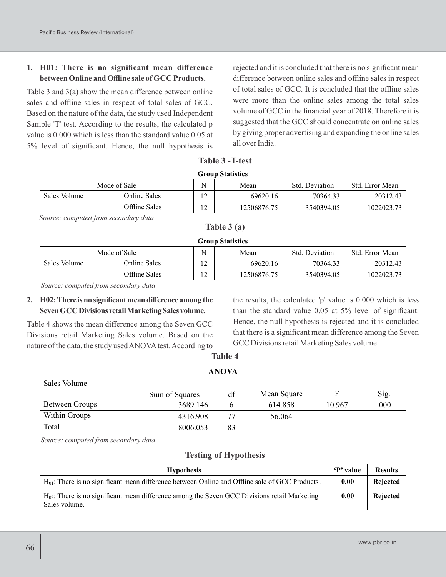#### **1. H01: There is no significant mean difference between Online and Offline sale of GCC Products.**

Table 3 and 3(a) show the mean difference between online sales and offline sales in respect of total sales of GCC. Based on the nature of the data, the study used Independent Sample 'T' test. According to the results, the calculated p value is 0.000 which is less than the standard value 0.05 at 5% level of significant. Hence, the null hypothesis is

rejected and it is concluded that there is no significant mean difference between online sales and offline sales in respect of total sales of GCC. It is concluded that the offline sales were more than the online sales among the total sales volume of GCC in the financial year of 2018. Therefore it is suggested that the GCC should concentrate on online sales by giving proper advertising and expanding the online sales all over India.

| $1411122 = 111231$      |                     |    |             |                |                 |  |  |
|-------------------------|---------------------|----|-------------|----------------|-----------------|--|--|
| <b>Group Statistics</b> |                     |    |             |                |                 |  |  |
| Mode of Sale            |                     |    | Mean        | Std. Deviation | Std. Error Mean |  |  |
| Sales Volume            | <b>Online Sales</b> | 12 | 69620.16    | 70364.33       | 20312.43        |  |  |
|                         | Offline Sales       | 12 | 12506876.75 | 3540394.05     | 1022023.73      |  |  |

**Table 3 -T-test**

*Source: computed from secondary data*

| $\sim$ $\sim$ $\sim$ $\sim$ $\sim$ $\sim$ $\sim$ $\sim$ |                     |                |             |                |                 |  |  |
|---------------------------------------------------------|---------------------|----------------|-------------|----------------|-----------------|--|--|
| <b>Group Statistics</b>                                 |                     |                |             |                |                 |  |  |
| Mode of Sale                                            |                     |                | Mean        | Std. Deviation | Std. Error Mean |  |  |
| Sales Volume                                            | <b>Online Sales</b> | $\overline{2}$ | 69620.16    | 70364.33       | 20312.43        |  |  |
|                                                         | Offline Sales       | ി              | 12506876.75 | 3540394.05     | 1022023.73      |  |  |

**Table 3 (a)**

*Source: computed from secondary data*

#### **2. H02:There isno significantmeandifference among the SevenGCCDivisionsretailMarketingSalesvolume.**

Table 4 shows the mean difference among the Seven GCC Divisions retail Marketing Sales volume. Based on the nature of the data, the study used ANOVA test. According to the results, the calculated 'p' value is 0.000 which is less than the standard value 0.05 at 5% level of significant. Hence, the null hypothesis is rejected and it is concluded that there is a significant mean difference among the Seven GCC Divisions retail Marketing Sales volume.

| $\sim$<br>$\sim$<br>v<br>٧<br>× |  |
|---------------------------------|--|
|---------------------------------|--|

| <b>ANOVA</b>   |                |    |             |        |      |  |  |
|----------------|----------------|----|-------------|--------|------|--|--|
| Sales Volume   |                |    |             |        |      |  |  |
|                | Sum of Squares | df | Mean Square |        | Sig. |  |  |
| Between Groups | 3689.146       | O  | 614.858     | 10.967 | .000 |  |  |
| Within Groups  | 4316.908       | 77 | 56.064      |        |      |  |  |
| Total          | 8006.053       | 83 |             |        |      |  |  |

*Source: computed from secondary data*

#### **Testing of Hypothesis**

| <b>Hypothesis</b>                                                                                                  | 'P' value | <b>Results</b> |
|--------------------------------------------------------------------------------------------------------------------|-----------|----------------|
| $H_{01}$ : There is no significant mean difference between Online and Offline sale of GCC Products.                | 0.00      | Rejected       |
| $H_{02}$ : There is no significant mean difference among the Seven GCC Divisions retail Marketing<br>Sales volume. | 0.00      | Rejected       |